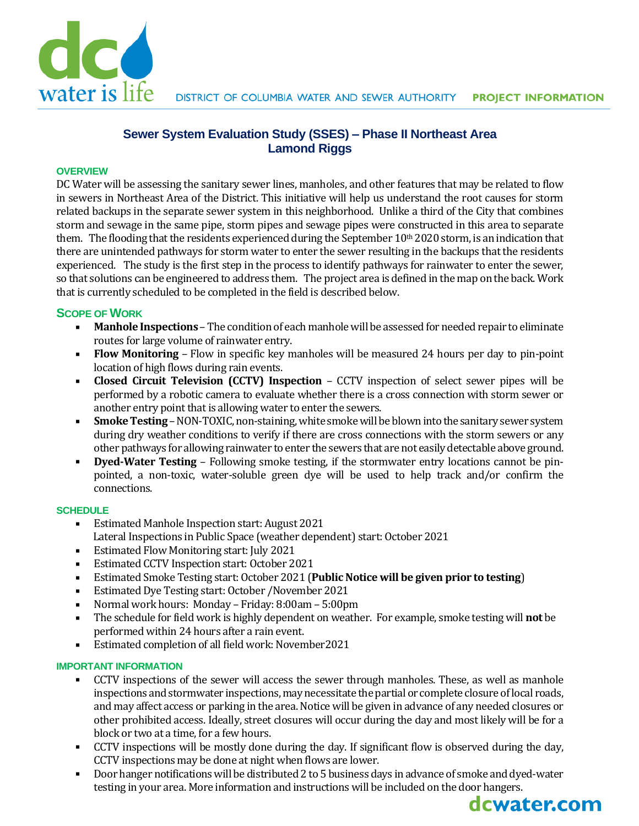

## **Sewer System Evaluation Study (SSES) – Phase II Northeast Area Lamond Riggs**

#### **OVERVIEW**

DC Water will be assessing the sanitary sewer lines, manholes, and other features that may be related to flow in sewers in Northeast Area of the District. This initiative will help us understand the root causes for storm related backups in the separate sewer system in this neighborhood. Unlike a third of the City that combines storm and sewage in the same pipe, storm pipes and sewage pipes were constructed in this area to separate them. The flooding that the residents experienced during the September  $10<sup>th</sup> 2020$  storm, is an indication that there are unintended pathways for storm water to enter the sewer resulting in the backups that the residents experienced. The study is the first step in the process to identify pathways for rainwater to enter the sewer, so that solutions can be engineered to address them. The project area is defined in the map on the back. Work that is currently scheduled to be completed in the field is described below.

#### **SCOPE OF WORK**

- **Manhole Inspections** The condition of each manhole will be assessed for needed repair to eliminate routes for large volume of rainwater entry.
- **Flow Monitoring** Flow in specific key manholes will be measured 24 hours per day to pin-point location of high flows during rain events.
- **Closed Circuit Television (CCTV) Inspection** CCTV inspection of select sewer pipes will be performed by a robotic camera to evaluate whether there is a cross connection with storm sewer or another entry point that is allowing water to enter the sewers.
- **Smoke Testing** NON-TOXIC, non-staining, white smoke will be blown into the sanitary sewer system during dry weather conditions to verify if there are cross connections with the storm sewers or any other pathways for allowing rainwater to enter the sewers that are not easily detectable above ground.
- **Dyed-Water Testing** Following smoke testing, if the stormwater entry locations cannot be pinpointed, a non-toxic, water-soluble green dye will be used to help track and/or confirm the connections.

#### **SCHEDULE**

- Estimated Manhole Inspection start: August 2021 Lateral Inspections in Public Space (weather dependent) start: October 2021
- Estimated Flow Monitoring start: July 2021
- Estimated CCTV Inspection start: October 2021
- Estimated Smoke Testing start: October 2021 (**Public Notice will be given prior to testing**)
- Estimated Dye Testing start: October /November 2021
- Normal work hours: Monday Friday: 8:00am 5:00pm
- The schedule for field work is highly dependent on weather. For example, smoke testing will **not** be performed within 24 hours after a rain event.
- **Estimated completion of all field work: November2021**

#### **IMPORTANT INFORMATION**

- CCTV inspections of the sewer will access the sewer through manholes. These, as well as manhole inspections and stormwater inspections, may necessitate the partial or complete closure of local roads, and may affect access or parking in the area. Notice will be given in advance of any needed closures or other prohibited access. Ideally, street closures will occur during the day and most likely will be for a block or two at a time, for a few hours.
- CCTV inspections will be mostly done during the day. If significant flow is observed during the day, CCTV inspections may be done at night when flows are lower.
- Door hanger notifications will be distributed 2 to 5 business days in advance of smoke and dyed-water testing in your area. More information and instructions will be included on the door hangers.